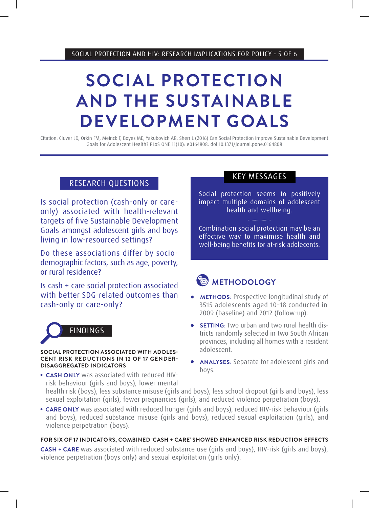SOCIAL PROTECTION AND HIV: RESEARCH IMPLICATIONS FOR POLICY - 5 OF 6

# **SOCIAL PROTECTION AND THE SUSTAINABLE DEVELOPMENT GOALS**

Citation: Cluver LD, Orkin FM, Meinck F, Boyes ME, Yakubovich AR, Sherr L (2016) Can Social Protection Improve Sustainable Development Goals for Adolescent Health? PLoS ONE 11(10): e0164808. doi:10.1371/journal.pone.0164808

# RESEARCH QUESTIONS

Is social protection (cash-only or careonly) associated with health-relevant targets of five Sustainable Development Goals amongst adolescent girls and boys living in low-resourced settings?

Do these associations differ by sociodemographic factors, such as age, poverty, or rural residence?

Is cash + care social protection associated with better SDG-related outcomes than cash-only or care-only?



#### **SOCIAL PROTECTION ASSOCIATED WITH ADOLES-CENT RISK REDUCTIONS IN 12 OF 17 GENDER-DISAGGREGATED INDICATORS**

**• CASH ONLY** was associated with reduced HIVrisk behaviour (girls and boys), lower mental

# KEY MESSAGES

Social protection seems to positively impact multiple domains of adolescent health and wellbeing.

Combination social protection may be an effective way to maximise health and well-being benefits for at-risk adolecents.

# **<sup><b> METHODOLOGY**</sup>

- **METHODS:** Prospective longitudinal study of 3515 adolescents aged 10–18 conducted in 2009 (baseline) and 2012 (follow-up).
- **SETTING**: Two urban and two rural health districts randomly selected in two South African provinces, including all homes with a resident adolescent.
- <sup>l</sup> **ANALYSES**: Separate for adolescent girls and boys.

health risk (boys), less substance misuse (girls and boys), less school dropout (girls and boys), less sexual exploitation (girls), fewer pregnancies (girls), and reduced violence perpetration (boys).

**CARE ONLY** was associated with reduced hunger (girls and boys), reduced HIV-risk behaviour (girls and boys), reduced substance misuse (girls and boys), reduced sexual exploitation (girls), and violence perpetration (boys).

# **FOR SIX OF 17 INDICATORS, COMBINED 'CASH + CARE' SHOWED ENHANCED RISK REDUCTION EFFECTS**

**CASH + CARE** was associated with reduced substance use (girls and boys), HIV-risk (girls and boys), violence perpetration (boys only) and sexual exploitation (girls only).